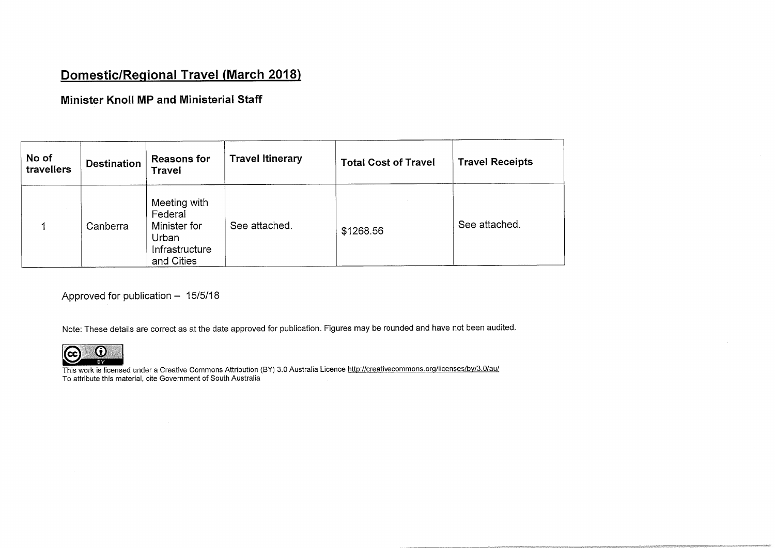## Domestic/Regional Travel (March 2018)

Minister KnoII MP and Ministerial Staff

| No of<br>travellers | <b>Destination</b> | <b>Reasons for</b><br><b>Travel</b>                                              | <b>Travel Itinerary</b> | <b>Total Cost of Travel</b> | <b>Travel Receipts</b> |
|---------------------|--------------------|----------------------------------------------------------------------------------|-------------------------|-----------------------------|------------------------|
|                     | Canberra           | Meeting with<br>Federal<br>Minister for<br>Urban<br>Infrastructure<br>and Cities | See attached.           | \$1268.56                   | See attached.          |

Approved for publication  $- 15/5/18$ 

Note: These details are correct as at the date approved for publication. Figures may be rounded and have not been audited.



This work is licensed under a Creative Commons Attribution (BY) 3.0 Australia Licence http://creativecommons.org/licenses/by/3.0/au/ To attribute this material, cite Government of South Australia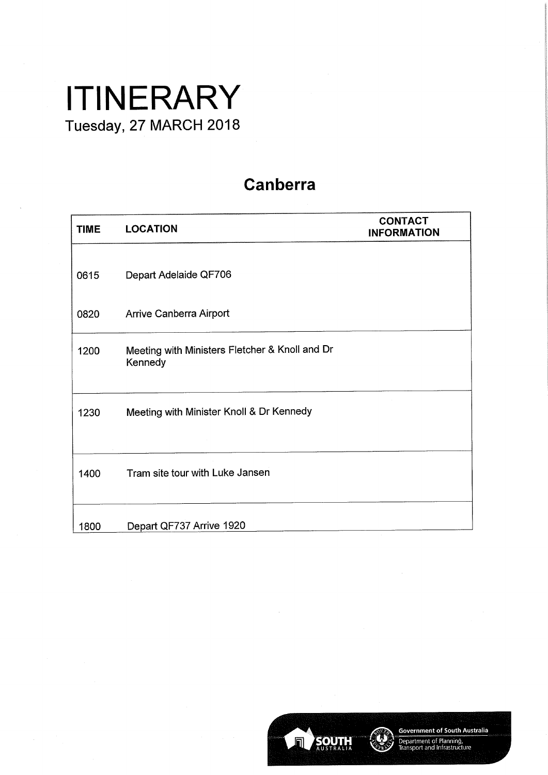## **ITINERARY** Tuesday, 27 MARCH 2018

## Canberra

| <b>TIME</b> | <b>LOCATION</b>                                           | <b>CONTACT</b><br><b>INFORMATION</b> |
|-------------|-----------------------------------------------------------|--------------------------------------|
| 0615        | Depart Adelaide QF706                                     |                                      |
| 0820        | Arrive Canberra Airport                                   |                                      |
| 1200        | Meeting with Ministers Fletcher & Knoll and Dr<br>Kennedy |                                      |
| 1230        | Meeting with Minister Knoll & Dr Kennedy                  |                                      |
| 1400        | Tram site tour with Luke Jansen                           |                                      |
| 1800        | Depart QF737 Arrive 1920                                  |                                      |



Government of South Australia